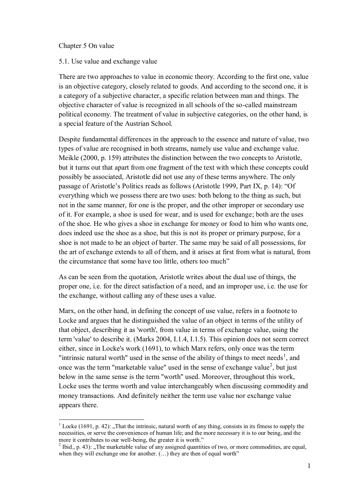### Chapter 5 On value

 $\overline{a}$ 

#### 5.1. Use value and exchange value

There are two approaches to value in economic theory. According to the first one, value is an objective category, closely related to goods. And according to the second one, it is a category of a subjective character, a specific relation between man and things. The objective character of value is recognized in all schools of the so-called mainstream political economy. The treatment of value in subjective categories, on the other hand, is a special feature of the Austrian School.

Despite fundamental differences in the approach to the essence and nature of value, two types of value are recognised in both streams, namely use value and exchange value. Meikle (2000, p. 159) attributes the distinction between the two concepts to Aristotle, but it turns out that apart from one fragment of the text with which these concepts could possibly be associated, Aristotle did not use any of these terms anywhere. The only passage of Aristotle's Politics reads as follows (Aristotle 1999, Part IX, p. 14): "Of everything which we possess there are two uses: both belong to the thing as such, but not in the same manner, for one is the proper, and the other improper or secondary use of it. For example, a shoe is used for wear, and is used for exchange; both are the uses of the shoe. He who gives a shoe in exchange for money or food to him who wants one, does indeed use the shoe as a shoe, but this is not its proper or primary purpose, for a shoe is not made to be an object of barter. The same may be said of all possessions, for the art of exchange extends to all of them, and it arises at first from what is natural, from the circumstance that some have too little, others too much"

As can be seen from the quotation, Aristotle writes about the dual use of things, the proper one, i.e. for the direct satisfaction of a need, and an improper use, i.e. the use for the exchange, without calling any of these uses a value.

Marx, on the other hand, in defining the concept of use value, refers in a footnote to Locke and argues that he distinguished the value of an object in terms of the utility of that object, describing it as 'worth', from value in terms of exchange value, using the term 'value' to describe it. (Marks 2004, I.1.4, I.1.5). This opinion does not seem correct either, since in Locke's work (1691), to which Marx refers, only once was the term "intrinsic natural worth" used in the sense of the ability of things to meet needs<sup>1</sup>, and once was the term "marketable value" used in the sense of exchange value<sup>2</sup>, but just below in the same sense is the term "worth" used. Moreover, throughout this work, Locke uses the terms worth and value interchangeably when discussing commodity and money transactions. And definitely neither the term use value nor exchange value appears there.

<sup>&</sup>lt;sup>1</sup> Locke (1691, p. 42): "That the intrinsic, natural worth of any thing, consists in its fitness to supply the necessities, or serve the conveniences of human life; and the more necessary it is to our being, and the more it contributes to our well-being, the greater it is worth."

<sup>&</sup>lt;sup>2</sup> Ibid., p. 43): "The marketable value of any assigned quantities of two, or more commodities, are equal, when they will exchange one for another. (...) they are then of equal worth"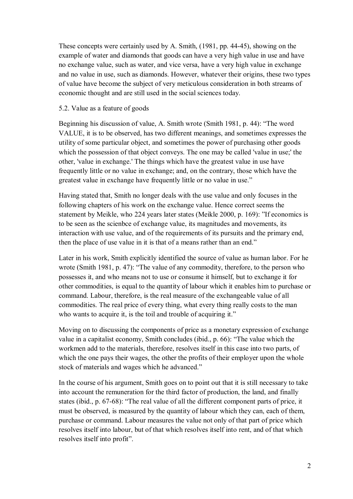These concepts were certainly used by A. Smith, (1981, pp. 44-45), showing on the example of water and diamonds that goods can have a very high value in use and have no exchange value, such as water, and vice versa, have a very high value in exchange and no value in use, such as diamonds. However, whatever their origins, these two types of value have become the subject of very meticulous consideration in both streams of economic thought and are still used in the social sciences today.

# 5.2. Value as a feature of goods

Beginning his discussion of value, A. Smith wrote (Smith 1981, p. 44): "The word VALUE, it is to be observed, has two different meanings, and sometimes expresses the utility of some particular object, and sometimes the power of purchasing other goods which the possession of that object conveys. The one may be called 'value in use;' the other, 'value in exchange.' The things which have the greatest value in use have frequently little or no value in exchange; and, on the contrary, those which have the greatest value in exchange have frequently little or no value in use."

Having stated that, Smith no longer deals with the use value and only focuses in the following chapters of his work on the exchange value. Hence correct seems the statement by Meikle, who 224 years later states (Meikle 2000, p. 169): "If economics is to be seen as the scienbce of exchange value, its magnitudes and movements, its interaction with use value, and of the requirements of its pursuits and the primary end, then the place of use value in it is that of a means rather than an end."

Later in his work, Smith explicitly identified the source of value as human labor. For he wrote (Smith 1981, p. 47): "The value of any commodity, therefore, to the person who possesses it, and who means not to use or consume it himself, but to exchange it for other commodities, is equal to the quantity of labour which it enables him to purchase or command. Labour, therefore, is the real measure of the exchangeable value of all commodities. The real price of every thing, what every thing really costs to the man who wants to acquire it, is the toil and trouble of acquiring it."

Moving on to discussing the components of price as a monetary expression of exchange value in a capitalist economy, Smith concludes (ibid., p. 66): "The value which the workmen add to the materials, therefore, resolves itself in this case into two parts, of which the one pays their wages, the other the profits of their employer upon the whole stock of materials and wages which he advanced."

In the course of his argument, Smith goes on to point out that it is still necessary to take into account the remuneration for the third factor of production, the land, and finally states (ibid., p. 67-68): "The real value of all the different component parts of price, it must be observed, is measured by the quantity of labour which they can, each of them, purchase or command. Labour measures the value not only of that part of price which resolves itself into labour, but of that which resolves itself into rent, and of that which resolves itself into profit".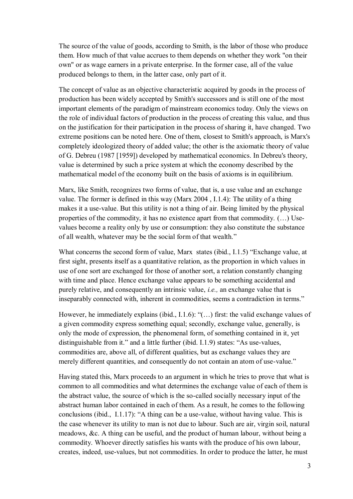The source of the value of goods, according to Smith, is the labor of those who produce them. How much of that value accrues to them depends on whether they work "on their own" or as wage earners in a private enterprise. In the former case, all of the value produced belongs to them, in the latter case, only part of it.

The concept of value as an objective characteristic acquired by goods in the process of production has been widely accepted by Smith's successors and is still one of the most important elements of the paradigm of mainstream economics today. Only the views on the role of individual factors of production in the process of creating this value, and thus on the justification for their participation in the process of sharing it, have changed. Two extreme positions can be noted here. One of them, closest to Smith's approach, is Marx's completely ideologized theory of added value; the other is the axiomatic theory of value of G. Debreu (1987 [1959]) developed by mathematical economics. In Debreu's theory, value is determined by such a price system at which the economy described by the mathematical model of the economy built on the basis of axioms is in equilibrium.

Marx, like Smith, recognizes two forms of value, that is, a use value and an exchange value. The former is defined in this way (Marx 2004 , I.1.4): The utility of a thing makes it a use-value. But this utility is not a thing of air. Being limited by the physical properties of the commodity, it has no existence apart from that commodity. (…) Usevalues become a reality only by use or consumption: they also constitute the substance of all wealth, whatever may be the social form of that wealth."

What concerns the second form of value, Marx states (ibid., I.1.5) "Exchange value, at first sight, presents itself as a quantitative relation, as the proportion in which values in use of one sort are exchanged for those of another sort, a relation constantly changing with time and place. Hence exchange value appears to be something accidental and purely relative, and consequently an intrinsic value, *i.e.,* an exchange value that is inseparably connected with, inherent in commodities, seems a contradiction in terms."

However, he immediately explains (ibid., I.1.6): "(...) first: the valid exchange values of a given commodity express something equal; secondly, exchange value, generally, is only the mode of expression, the phenomenal form, of something contained in it, yet distinguishable from it." and a little further (ibid. I.1.9) states: "As use-values, commodities are, above all, of different qualities, but as exchange values they are merely different quantities, and consequently do not contain an atom of use-value."

Having stated this, Marx proceeds to an argument in which he tries to prove that what is common to all commodities and what determines the exchange value of each of them is the abstract value, the source of which is the so-called socially necessary input of the abstract human labor contained in each of them. As a result, he comes to the following conclusions (ibid., I.1.17): "A thing can be a use-value, without having value. This is the case whenever its utility to man is not due to labour. Such are air, virgin soil, natural meadows, &c. A thing can be useful, and the product of human labour, without being a commodity. Whoever directly satisfies his wants with the produce of his own labour, creates, indeed, use-values, but not commodities. In order to produce the latter, he must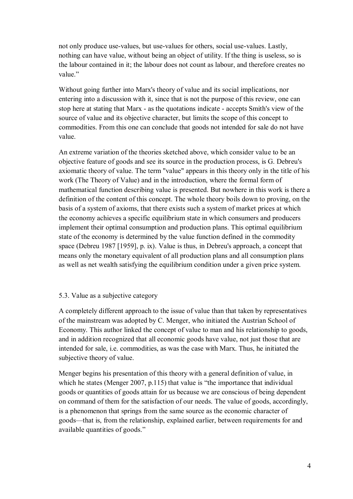not only produce use-values, but use-values for others, social use-values. Lastly, nothing can have value, without being an object of utility. If the thing is useless, so is the labour contained in it; the labour does not count as labour, and therefore creates no value."

Without going further into Marx's theory of value and its social implications, nor entering into a discussion with it, since that is not the purpose of this review, one can stop here at stating that Marx - as the quotations indicate - accepts Smith's view of the source of value and its objective character, but limits the scope of this concept to commodities. From this one can conclude that goods not intended for sale do not have value.

An extreme variation of the theories sketched above, which consider value to be an objective feature of goods and see its source in the production process, is G. Debreu's axiomatic theory of value. The term "value" appears in this theory only in the title of his work (The Theory of Value) and in the introduction, where the formal form of mathematical function describing value is presented. But nowhere in this work is there a definition of the content of this concept. The whole theory boils down to proving, on the basis of a system of axioms, that there exists such a system of market prices at which the economy achieves a specific equilibrium state in which consumers and producers implement their optimal consumption and production plans. This optimal equilibrium state of the economy is determined by the value function defined in the commodity space (Debreu 1987 [1959], p. ix). Value is thus, in Debreu's approach, a concept that means only the monetary equivalent of all production plans and all consumption plans as well as net wealth satisfying the equilibrium condition under a given price system.

## 5.3. Value as a subjective category

A completely different approach to the issue of value than that taken by representatives of the mainstream was adopted by C. Menger, who initiated the Austrian School of Economy. This author linked the concept of value to man and his relationship to goods, and in addition recognized that all economic goods have value, not just those that are intended for sale, i.e. commodities, as was the case with Marx. Thus, he initiated the subjective theory of value.

Menger begins his presentation of this theory with a general definition of value, in which he states (Menger 2007, p.115) that value is "the importance that individual goods or quantities of goods attain for us because we are conscious of being dependent on command of them for the satisfaction of our needs. The value of goods, accordingly, is a phenomenon that springs from the same source as the economic character of goods—that is, from the relationship, explained earlier, between requirements for and available quantities of goods."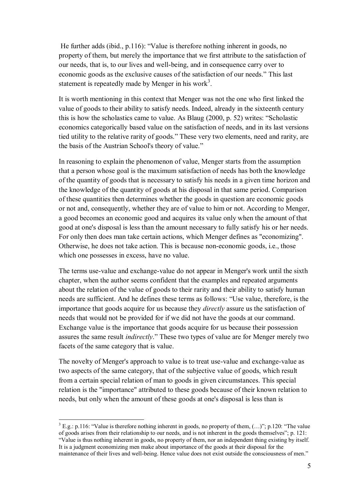He further adds (ibid., p.116): "Value is therefore nothing inherent in goods, no property of them, but merely the importance that we first attribute to the satisfaction of our needs, that is, to our lives and well-being, and in consequence carry over to economic goods as the exclusive causes of the satisfaction of our needs." This last statement is repeatedly made by Menger in his work<sup>3</sup>.

It is worth mentioning in this context that Menger was not the one who first linked the value of goods to their ability to satisfy needs. Indeed, already in the sixteenth century this is how the scholastics came to value. As Blaug (2000, p. 52) writes: "Scholastic economics categorically based value on the satisfaction of needs, and in its last versions tied utility to the relative rarity of goods." These very two elements, need and rarity, are the basis of the Austrian School's theory of value."

In reasoning to explain the phenomenon of value, Menger starts from the assumption that a person whose goal is the maximum satisfaction of needs has both the knowledge of the quantity of goods that is necessary to satisfy his needs in a given time horizon and the knowledge of the quantity of goods at his disposal in that same period. Comparison of these quantities then determines whether the goods in question are economic goods or not and, consequently, whether they are of value to him or not. According to Menger, a good becomes an economic good and acquires its value only when the amount of that good at one's disposal is less than the amount necessary to fully satisfy his or her needs. For only then does man take certain actions, which Menger defines as "economizing". Otherwise, he does not take action. This is because non-economic goods, i.e., those which one possesses in excess, have no value.

The terms use-value and exchange-value do not appear in Menger's work until the sixth chapter, when the author seems confident that the examples and repeated arguments about the relation of the value of goods to their rarity and their ability to satisfy human needs are sufficient. And he defines these terms as follows: "Use value, therefore, is the importance that goods acquire for us because they *directly* assure us the satisfaction of needs that would not be provided for if we did not have the goods at our command. Exchange value is the importance that goods acquire for us because their possession assures the same result *indirectly*." These two types of value are for Menger merely two facets of the same category that is value.

The novelty of Menger's approach to value is to treat use-value and exchange-value as two aspects of the same category, that of the subjective value of goods, which result from a certain special relation of man to goods in given circumstances. This special relation is the "importance" attributed to these goods because of their known relation to needs, but only when the amount of these goods at one's disposal is less than is

 $\overline{a}$ 

 $3$  E.g.: p.116: "Value is therefore nothing inherent in goods, no property of them,  $(...)$ "; p.120: "The value of goods arises from their relationship to our needs, and is not inherent in the goods themselves"; p. 121: "Value is thus nothing inherent in goods, no property of them, nor an independent thing existing by itself. It is a judgment economizing men make about importance of the goods at their disposal for the maintenance of their lives and well-being. Hence value does not exist outside the consciousness of men."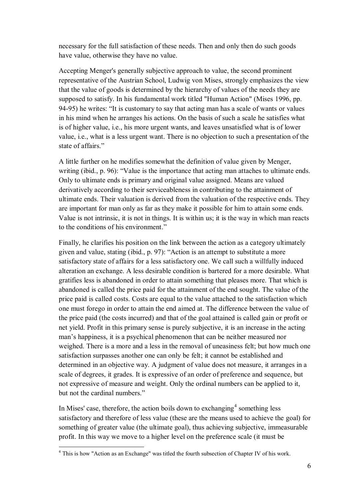necessary for the full satisfaction of these needs. Then and only then do such goods have value, otherwise they have no value.

Accepting Menger's generally subjective approach to value, the second prominent representative of the Austrian School, Ludwig von Mises, strongly emphasizes the view that the value of goods is determined by the hierarchy of values of the needs they are supposed to satisfy. In his fundamental work titled "Human Action" (Mises 1996, pp. 94-95) he writes: "It is customary to say that acting man has a scale of wants or values in his mind when he arranges his actions. On the basis of such a scale he satisfies what is of higher value, i.e., his more urgent wants, and leaves unsatisfied what is of lower value, i.e., what is a less urgent want. There is no objection to such a presentation of the state of affairs."

A little further on he modifies somewhat the definition of value given by Menger, writing (ibid., p. 96): "Value is the importance that acting man attaches to ultimate ends. Only to ultimate ends is primary and original value assigned. Means are valued derivatively according to their serviceableness in contributing to the attainment of ultimate ends. Their valuation is derived from the valuation of the respective ends. They are important for man only as far as they make it possible for him to attain some ends. Value is not intrinsic, it is not in things. It is within us; it is the way in which man reacts to the conditions of his environment."

Finally, he clarifies his position on the link between the action as a category ultimately given and value, stating (ibid., p. 97): "Action is an attempt to substitute a more satisfactory state of affairs for a less satisfactory one. We call such a willfully induced alteration an exchange. A less desirable condition is bartered for a more desirable. What gratifies less is abandoned in order to attain something that pleases more. That which is abandoned is called the price paid for the attainment of the end sought. The value of the price paid is called costs. Costs are equal to the value attached to the satisfaction which one must forego in order to attain the end aimed at. The difference between the value of the price paid (the costs incurred) and that of the goal attained is called gain or profit or net yield. Profit in this primary sense is purely subjective, it is an increase in the acting man's happiness, it is a psychical phenomenon that can be neither measured nor weighed. There is a more and a less in the removal of uneasiness felt; but how much one satisfaction surpasses another one can only be felt; it cannot be established and determined in an objective way. A judgment of value does not measure, it arranges in a scale of degrees, it grades. It is expressive of an order of preference and sequence, but not expressive of measure and weight. Only the ordinal numbers can be applied to it, but not the cardinal numbers."

In Mises' case, therefore, the action boils down to exchanging<sup>4</sup> something less satisfactory and therefore of less value (these are the means used to achieve the goal) for something of greater value (the ultimate goal), thus achieving subjective, immeasurable profit. In this way we move to a higher level on the preference scale (it must be

 $\overline{a}$ 

<sup>&</sup>lt;sup>4</sup> This is how "Action as an Exchange" was titled the fourth subsection of Chapter IV of his work.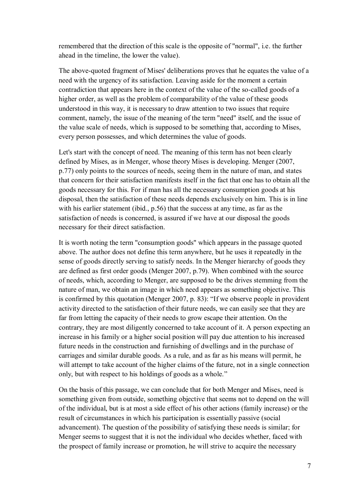remembered that the direction of this scale is the opposite of "normal", i.e. the further ahead in the timeline, the lower the value).

The above-quoted fragment of Mises' deliberations proves that he equates the value of a need with the urgency of its satisfaction. Leaving aside for the moment a certain contradiction that appears here in the context of the value of the so-called goods of a higher order, as well as the problem of comparability of the value of these goods understood in this way, it is necessary to draw attention to two issues that require comment, namely, the issue of the meaning of the term "need" itself, and the issue of the value scale of needs, which is supposed to be something that, according to Mises, every person possesses, and which determines the value of goods.

Let's start with the concept of need. The meaning of this term has not been clearly defined by Mises, as in Menger, whose theory Mises is developing. Menger (2007, p.77) only points to the sources of needs, seeing them in the nature of man, and states that concern for their satisfaction manifests itself in the fact that one has to obtain all the goods necessary for this. For if man has all the necessary consumption goods at his disposal, then the satisfaction of these needs depends exclusively on him. This is in line with his earlier statement (ibid., p.56) that the success at any time, as far as the satisfaction of needs is concerned, is assured if we have at our disposal the goods necessary for their direct satisfaction.

It is worth noting the term "consumption goods" which appears in the passage quoted above. The author does not define this term anywhere, but he uses it repeatedly in the sense of goods directly serving to satisfy needs. In the Menger hierarchy of goods they are defined as first order goods (Menger 2007, p.79). When combined with the source of needs, which, according to Menger, are supposed to be the drives stemming from the nature of man, we obtain an image in which need appears as something objective. This is confirmed by this quotation (Menger 2007, p. 83): "If we observe people in provident activity directed to the satisfaction of their future needs, we can easily see that they are far from letting the capacity of their needs to grow escape their attention. On the contrary, they are most diligently concerned to take account of it. A person expecting an increase in his family or a higher social position will pay due attention to his increased future needs in the construction and furnishing of dwellings and in the purchase of carriages and similar durable goods. As a rule, and as far as his means will permit, he will attempt to take account of the higher claims of the future, not in a single connection only, but with respect to his holdings of goods as a whole."

On the basis of this passage, we can conclude that for both Menger and Mises, need is something given from outside, something objective that seems not to depend on the will of the individual, but is at most a side effect of his other actions (family increase) or the result of circumstances in which his participation is essentially passive (social advancement). The question of the possibility of satisfying these needs is similar; for Menger seems to suggest that it is not the individual who decides whether, faced with the prospect of family increase or promotion, he will strive to acquire the necessary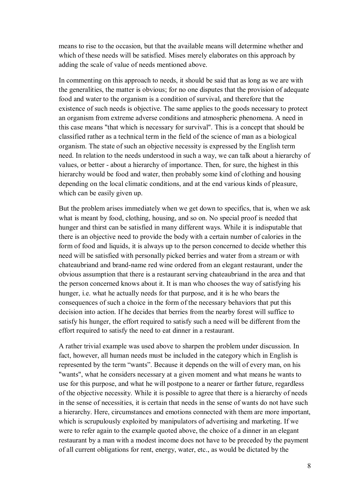means to rise to the occasion, but that the available means will determine whether and which of these needs will be satisfied. Mises merely elaborates on this approach by adding the scale of value of needs mentioned above.

In commenting on this approach to needs, it should be said that as long as we are with the generalities, the matter is obvious; for no one disputes that the provision of adequate food and water to the organism is a condition of survival, and therefore that the existence of such needs is objective. The same applies to the goods necessary to protect an organism from extreme adverse conditions and atmospheric phenomena. A need in this case means "that which is necessary for survival". This is a concept that should be classified rather as a technical term in the field of the science of man as a biological organism. The state of such an objective necessity is expressed by the English term need. In relation to the needs understood in such a way, we can talk about a hierarchy of values, or better - about a hierarchy of importance. Then, for sure, the highest in this hierarchy would be food and water, then probably some kind of clothing and housing depending on the local climatic conditions, and at the end various kinds of pleasure, which can be easily given up.

But the problem arises immediately when we get down to specifics, that is, when we ask what is meant by food, clothing, housing, and so on. No special proof is needed that hunger and thirst can be satisfied in many different ways. While it is indisputable that there is an objective need to provide the body with a certain number of calories in the form of food and liquids, it is always up to the person concerned to decide whether this need will be satisfied with personally picked berries and water from a stream or with chateaubriand and brand-name red wine ordered from an elegant restaurant, under the obvious assumption that there is a restaurant serving chateaubriand in the area and that the person concerned knows about it. It is man who chooses the way of satisfying his hunger, i.e. what he actually needs for that purpose, and it is he who bears the consequences of such a choice in the form of the necessary behaviors that put this decision into action. If he decides that berries from the nearby forest will suffice to satisfy his hunger, the effort required to satisfy such a need will be different from the effort required to satisfy the need to eat dinner in a restaurant.

A rather trivial example was used above to sharpen the problem under discussion. In fact, however, all human needs must be included in the category which in English is represented by the term "wants". Because it depends on the will of every man, on his "wants", what he considers necessary at a given moment and what means he wants to use for this purpose, and what he will postpone to a nearer or farther future, regardless of the objective necessity. While it is possible to agree that there is a hierarchy of needs in the sense of necessities, it is certain that needs in the sense of wants do not have such a hierarchy. Here, circumstances and emotions connected with them are more important, which is scrupulously exploited by manipulators of advertising and marketing. If we were to refer again to the example quoted above, the choice of a dinner in an elegant restaurant by a man with a modest income does not have to be preceded by the payment of all current obligations for rent, energy, water, etc., as would be dictated by the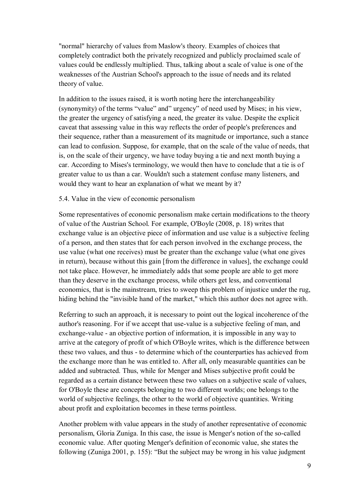"normal" hierarchy of values from Maslow's theory. Examples of choices that completely contradict both the privately recognized and publicly proclaimed scale of values could be endlessly multiplied. Thus, talking about a scale of value is one of the weaknesses of the Austrian School's approach to the issue of needs and its related theory of value.

In addition to the issues raised, it is worth noting here the interchangeability (synonymity) of the terms "value" and" urgency" of need used by Mises; in his view, the greater the urgency of satisfying a need, the greater its value. Despite the explicit caveat that assessing value in this way reflects the order of people's preferences and their sequence, rather than a measurement of its magnitude or importance, such a stance can lead to confusion. Suppose, for example, that on the scale of the value of needs, that is, on the scale of their urgency, we have today buying a tie and next month buying a car. According to Mises's terminology, we would then have to conclude that a tie is of greater value to us than a car. Wouldn't such a statement confuse many listeners, and would they want to hear an explanation of what we meant by it?

# 5.4. Value in the view of economic personalism

Some representatives of economic personalism make certain modifications to the theory of value of the Austrian School. For example, O'Boyle (2008, p. 18) writes that exchange value is an objective piece of information and use value is a subjective feeling of a person, and then states that for each person involved in the exchange process, the use value (what one receives) must be greater than the exchange value (what one gives in return), because without this gain [from the difference in values], the exchange could not take place. However, he immediately adds that some people are able to get more than they deserve in the exchange process, while others get less, and conventional economics, that is the mainstream, tries to sweep this problem of injustice under the rug, hiding behind the "invisible hand of the market," which this author does not agree with.

Referring to such an approach, it is necessary to point out the logical incoherence of the author's reasoning. For if we accept that use-value is a subjective feeling of man, and exchange-value - an objective portion of information, it is impossible in any way to arrive at the category of profit of which O'Boyle writes, which is the difference between these two values, and thus - to determine which of the counterparties has achieved from the exchange more than he was entitled to. After all, only measurable quantities can be added and subtracted. Thus, while for Menger and Mises subjective profit could be regarded as a certain distance between these two values on a subjective scale of values, for O'Boyle these are concepts belonging to two different worlds; one belongs to the world of subjective feelings, the other to the world of objective quantities. Writing about profit and exploitation becomes in these terms pointless.

Another problem with value appears in the study of another representative of economic personalism, Gloria Zuniga. In this case, the issue is Menger's notion of the so-called economic value. After quoting Menger's definition of economic value, she states the following (Zuniga 2001, p. 155): "But the subject may be wrong in his value judgment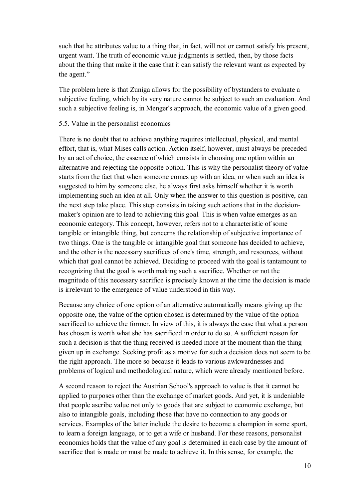such that he attributes value to a thing that, in fact, will not or cannot satisfy his present, urgent want. The truth of economic value judgments is settled, then, by those facts about the thing that make it the case that it can satisfy the relevant want as expected by the agent."

The problem here is that Zuniga allows for the possibility of bystanders to evaluate a subjective feeling, which by its very nature cannot be subject to such an evaluation. And such a subjective feeling is, in Menger's approach, the economic value of a given good.

### 5.5. Value in the personalist economics

There is no doubt that to achieve anything requires intellectual, physical, and mental effort, that is, what Mises calls action. Action itself, however, must always be preceded by an act of choice, the essence of which consists in choosing one option within an alternative and rejecting the opposite option. This is why the personalist theory of value starts from the fact that when someone comes up with an idea, or when such an idea is suggested to him by someone else, he always first asks himself whether it is worth implementing such an idea at all. Only when the answer to this question is positive, can the next step take place. This step consists in taking such actions that in the decisionmaker's opinion are to lead to achieving this goal. This is when value emerges as an economic category. This concept, however, refers not to a characteristic of some tangible or intangible thing, but concerns the relationship of subjective importance of two things. One is the tangible or intangible goal that someone has decided to achieve, and the other is the necessary sacrifices of one's time, strength, and resources, without which that goal cannot be achieved. Deciding to proceed with the goal is tantamount to recognizing that the goal is worth making such a sacrifice. Whether or not the magnitude of this necessary sacrifice is precisely known at the time the decision is made is irrelevant to the emergence of value understood in this way.

Because any choice of one option of an alternative automatically means giving up the opposite one, the value of the option chosen is determined by the value of the option sacrificed to achieve the former. In view of this, it is always the case that what a person has chosen is worth what she has sacrificed in order to do so. A sufficient reason for such a decision is that the thing received is needed more at the moment than the thing given up in exchange. Seeking profit as a motive for such a decision does not seem to be the right approach. The more so because it leads to various awkwardnesses and problems of logical and methodological nature, which were already mentioned before.

A second reason to reject the Austrian School's approach to value is that it cannot be applied to purposes other than the exchange of market goods. And yet, it is undeniable that people ascribe value not only to goods that are subject to economic exchange, but also to intangible goals, including those that have no connection to any goods or services. Examples of the latter include the desire to become a champion in some sport, to learn a foreign language, or to get a wife or husband. For these reasons, personalist economics holds that the value of any goal is determined in each case by the amount of sacrifice that is made or must be made to achieve it. In this sense, for example, the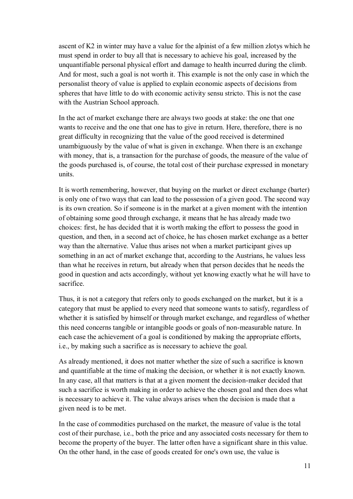ascent of K2 in winter may have a value for the alpinist of a few million zlotys which he must spend in order to buy all that is necessary to achieve his goal, increased by the unquantifiable personal physical effort and damage to health incurred during the climb. And for most, such a goal is not worth it. This example is not the only case in which the personalist theory of value is applied to explain economic aspects of decisions from spheres that have little to do with economic activity sensu stricto. This is not the case with the Austrian School approach.

In the act of market exchange there are always two goods at stake: the one that one wants to receive and the one that one has to give in return. Here, therefore, there is no great difficulty in recognizing that the value of the good received is determined unambiguously by the value of what is given in exchange. When there is an exchange with money, that is, a transaction for the purchase of goods, the measure of the value of the goods purchased is, of course, the total cost of their purchase expressed in monetary units.

It is worth remembering, however, that buying on the market or direct exchange (barter) is only one of two ways that can lead to the possession of a given good. The second way is its own creation. So if someone is in the market at a given moment with the intention of obtaining some good through exchange, it means that he has already made two choices: first, he has decided that it is worth making the effort to possess the good in question, and then, in a second act of choice, he has chosen market exchange as a better way than the alternative. Value thus arises not when a market participant gives up something in an act of market exchange that, according to the Austrians, he values less than what he receives in return, but already when that person decides that he needs the good in question and acts accordingly, without yet knowing exactly what he will have to sacrifice.

Thus, it is not a category that refers only to goods exchanged on the market, but it is a category that must be applied to every need that someone wants to satisfy, regardless of whether it is satisfied by himself or through market exchange, and regardless of whether this need concerns tangible or intangible goods or goals of non-measurable nature. In each case the achievement of a goal is conditioned by making the appropriate efforts, i.e., by making such a sacrifice as is necessary to achieve the goal.

As already mentioned, it does not matter whether the size of such a sacrifice is known and quantifiable at the time of making the decision, or whether it is not exactly known. In any case, all that matters is that at a given moment the decision-maker decided that such a sacrifice is worth making in order to achieve the chosen goal and then does what is necessary to achieve it. The value always arises when the decision is made that a given need is to be met.

In the case of commodities purchased on the market, the measure of value is the total cost of their purchase, i.e., both the price and any associated costs necessary for them to become the property of the buyer. The latter often have a significant share in this value. On the other hand, in the case of goods created for one's own use, the value is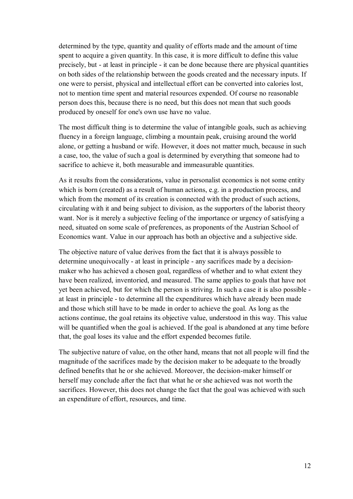determined by the type, quantity and quality of efforts made and the amount of time spent to acquire a given quantity. In this case, it is more difficult to define this value precisely, but - at least in principle - it can be done because there are physical quantities on both sides of the relationship between the goods created and the necessary inputs. If one were to persist, physical and intellectual effort can be converted into calories lost, not to mention time spent and material resources expended. Of course no reasonable person does this, because there is no need, but this does not mean that such goods produced by oneself for one's own use have no value.

The most difficult thing is to determine the value of intangible goals, such as achieving fluency in a foreign language, climbing a mountain peak, cruising around the world alone, or getting a husband or wife. However, it does not matter much, because in such a case, too, the value of such a goal is determined by everything that someone had to sacrifice to achieve it, both measurable and immeasurable quantities.

As it results from the considerations, value in personalist economics is not some entity which is born (created) as a result of human actions, e.g. in a production process, and which from the moment of its creation is connected with the product of such actions, circulating with it and being subject to division, as the supporters of the laborist theory want. Nor is it merely a subjective feeling of the importance or urgency of satisfying a need, situated on some scale of preferences, as proponents of the Austrian School of Economics want. Value in our approach has both an objective and a subjective side.

The objective nature of value derives from the fact that it is always possible to determine unequivocally - at least in principle - any sacrifices made by a decisionmaker who has achieved a chosen goal, regardless of whether and to what extent they have been realized, inventoried, and measured. The same applies to goals that have not yet been achieved, but for which the person is striving. In such a case it is also possible at least in principle - to determine all the expenditures which have already been made and those which still have to be made in order to achieve the goal. As long as the actions continue, the goal retains its objective value, understood in this way. This value will be quantified when the goal is achieved. If the goal is abandoned at any time before that, the goal loses its value and the effort expended becomes futile.

The subjective nature of value, on the other hand, means that not all people will find the magnitude of the sacrifices made by the decision maker to be adequate to the broadly defined benefits that he or she achieved. Moreover, the decision-maker himself or herself may conclude after the fact that what he or she achieved was not worth the sacrifices. However, this does not change the fact that the goal was achieved with such an expenditure of effort, resources, and time.